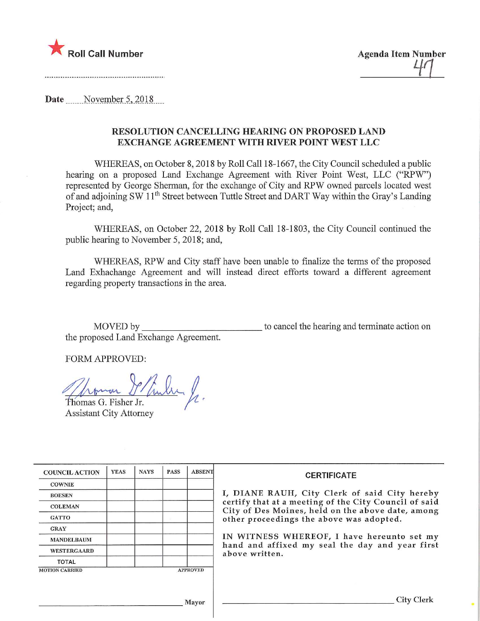

Date November 5, 2018

## RESOLUTION CANCELLING HEARING ON PROPOSED LAND EXCHANGE AGREEMENT WITH RIVER POINT WEST LLC

WHEREAS, on October 8,2018 by Roll Call 18-1667, the City Council scheduled a public hearing on a proposed Land Exchange Agreement with River Point West, LLC ("RPW") represented by George Sherman, for the exchange of City and RPW owned parcels located west of and adjoining SW 11<sup>th</sup> Street between Tuttle Street and DART Way within the Gray's Landing Project; and,

WHEREAS, on October 22, 2018 by Roll Call 18-1803, the City Council continued the public hearing to November 5, 2018; and,

WHEREAS, RPW and City staff have been unable to finalize the terms of the proposed Land Exhachange Agreement and will instead direct efforts toward a different agreement regarding property transactions in the area.

MOVED by to cancel the hearing and terminate action on the proposed Land Exchange Agreement.

FORM APPROVED:

 $\lambda$  formar Thomas P/fuller /

Assistant City Attorney

| <b>COUNCIL ACTION</b> | <b>YEAS</b> | <b>NAYS</b> | <b>PASS</b> | <b>ABSENT</b>   | <b>CERTIFICATE</b>                                                                                         |
|-----------------------|-------------|-------------|-------------|-----------------|------------------------------------------------------------------------------------------------------------|
| <b>COWNIE</b>         |             |             |             |                 |                                                                                                            |
| <b>BOESEN</b>         |             |             |             |                 | I, DIANE RAUH, City Clerk of said City hereby                                                              |
| <b>COLEMAN</b>        |             |             |             |                 | certify that at a meeting of the City Council of said<br>City of Des Moines, held on the above date, among |
| <b>GATTO</b>          |             |             |             |                 | other proceedings the above was adopted.                                                                   |
| <b>GRAY</b>           |             |             |             |                 |                                                                                                            |
| <b>MANDELBAUM</b>     |             |             |             |                 | IN WITNESS WHEREOF, I have hereunto set my                                                                 |
| <b>WESTERGAARD</b>    |             |             |             |                 | hand and affixed my seal the day and year first<br>above written.                                          |
| <b>TOTAL</b>          |             |             |             |                 |                                                                                                            |
| <b>MOTION CARRIED</b> |             |             |             | <b>APPROVED</b> |                                                                                                            |
|                       |             |             |             |                 |                                                                                                            |
|                       |             |             |             | Mayor           |                                                                                                            |